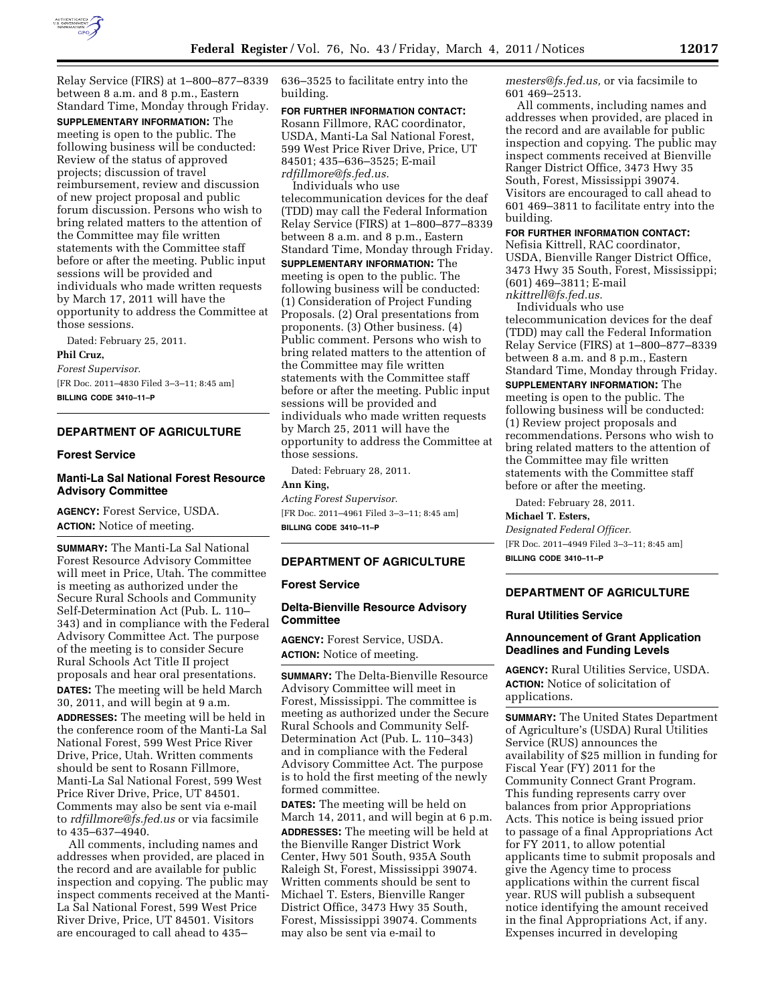

Relay Service (FIRS) at 1–800–877–8339 between 8 a.m. and 8 p.m., Eastern Standard Time, Monday through Friday.

**SUPPLEMENTARY INFORMATION:** The meeting is open to the public. The following business will be conducted: Review of the status of approved projects; discussion of travel reimbursement, review and discussion of new project proposal and public forum discussion. Persons who wish to bring related matters to the attention of the Committee may file written statements with the Committee staff before or after the meeting. Public input sessions will be provided and individuals who made written requests by March 17, 2011 will have the opportunity to address the Committee at those sessions.

Dated: February 25, 2011.

# **Phil Cruz,**

*Forest Supervisor.*  [FR Doc. 2011–4830 Filed 3–3–11; 8:45 am] **BILLING CODE 3410–11–P** 

# **DEPARTMENT OF AGRICULTURE**

### **Forest Service**

# **Manti-La Sal National Forest Resource Advisory Committee**

**AGENCY:** Forest Service, USDA. **ACTION:** Notice of meeting.

**SUMMARY:** The Manti-La Sal National Forest Resource Advisory Committee will meet in Price, Utah. The committee is meeting as authorized under the Secure Rural Schools and Community Self-Determination Act (Pub. L. 110– 343) and in compliance with the Federal Advisory Committee Act. The purpose of the meeting is to consider Secure Rural Schools Act Title II project proposals and hear oral presentations. **DATES:** The meeting will be held March 30, 2011, and will begin at 9 a.m.

**ADDRESSES:** The meeting will be held in the conference room of the Manti-La Sal National Forest, 599 West Price River Drive, Price, Utah. Written comments should be sent to Rosann Fillmore, Manti-La Sal National Forest, 599 West Price River Drive, Price, UT 84501. Comments may also be sent via e-mail to *[rdfillmore@fs.fed.us](mailto:rdfillmore@fs.fed.us)* or via facsimile to 435–637–4940.

All comments, including names and addresses when provided, are placed in the record and are available for public inspection and copying. The public may inspect comments received at the Manti-La Sal National Forest, 599 West Price River Drive, Price, UT 84501. Visitors are encouraged to call ahead to 435–

636–3525 to facilitate entry into the building.

# **FOR FURTHER INFORMATION CONTACT:**

Rosann Fillmore, RAC coordinator, USDA, Manti-La Sal National Forest, 599 West Price River Drive, Price, UT 84501; 435–636–3525; E-mail *[rdfillmore@fs.fed.us.](mailto:rdfillmore@fs.fed.us)* 

Individuals who use telecommunication devices for the deaf (TDD) may call the Federal Information Relay Service (FIRS) at 1–800–877–8339 between 8 a.m. and 8 p.m., Eastern Standard Time, Monday through Friday.

**SUPPLEMENTARY INFORMATION:** The meeting is open to the public. The following business will be conducted: (1) Consideration of Project Funding Proposals. (2) Oral presentations from proponents. (3) Other business. (4) Public comment. Persons who wish to bring related matters to the attention of the Committee may file written statements with the Committee staff before or after the meeting. Public input sessions will be provided and individuals who made written requests by March 25, 2011 will have the opportunity to address the Committee at those sessions.

Dated: February 28, 2011.

### **Ann King,**  *Acting Forest Supervisor.*

[FR Doc. 2011–4961 Filed 3–3–11; 8:45 am] **BILLING CODE 3410–11–P** 

# **DEPARTMENT OF AGRICULTURE**

# **Forest Service**

# **Delta-Bienville Resource Advisory Committee**

**AGENCY:** Forest Service, USDA. **ACTION:** Notice of meeting.

**SUMMARY:** The Delta-Bienville Resource Advisory Committee will meet in Forest, Mississippi. The committee is meeting as authorized under the Secure Rural Schools and Community Self-Determination Act (Pub. L. 110–343) and in compliance with the Federal Advisory Committee Act. The purpose is to hold the first meeting of the newly formed committee.

**DATES:** The meeting will be held on March 14, 2011, and will begin at 6 p.m. **ADDRESSES:** The meeting will be held at the Bienville Ranger District Work Center, Hwy 501 South, 935A South Raleigh St, Forest, Mississippi 39074. Written comments should be sent to Michael T. Esters, Bienville Ranger District Office, 3473 Hwy 35 South, Forest, Mississippi 39074. Comments may also be sent via e-mail to

*[mesters@fs.fed.us,](mailto:mesters@fs.fed.us)* or via facsimile to 601 469–2513.

All comments, including names and addresses when provided, are placed in the record and are available for public inspection and copying. The public may inspect comments received at Bienville Ranger District Office, 3473 Hwy 35 South, Forest, Mississippi 39074. Visitors are encouraged to call ahead to 601 469–3811 to facilitate entry into the building.

## **FOR FURTHER INFORMATION CONTACT:**

Nefisia Kittrell, RAC coordinator, USDA, Bienville Ranger District Office, 3473 Hwy 35 South, Forest, Mississippi; (601) 469–3811; E-mail *[nkittrell@fs.fed.us.](mailto:nkittrell@fs.fed.us)* 

Individuals who use

telecommunication devices for the deaf (TDD) may call the Federal Information Relay Service (FIRS) at 1–800–877–8339 between 8 a.m. and 8 p.m., Eastern Standard Time, Monday through Friday.

**SUPPLEMENTARY INFORMATION:** The meeting is open to the public. The following business will be conducted: (1) Review project proposals and recommendations. Persons who wish to bring related matters to the attention of the Committee may file written statements with the Committee staff before or after the meeting.

Dated: February 28, 2011.

**Michael T. Esters,**  *Designated Federal Officer.*  [FR Doc. 2011–4949 Filed 3–3–11; 8:45 am] **BILLING CODE 3410–11–P** 

# **DEPARTMENT OF AGRICULTURE**

## **Rural Utilities Service**

# **Announcement of Grant Application Deadlines and Funding Levels**

**AGENCY:** Rural Utilities Service, USDA. **ACTION:** Notice of solicitation of applications.

**SUMMARY:** The United States Department of Agriculture's (USDA) Rural Utilities Service (RUS) announces the availability of \$25 million in funding for Fiscal Year (FY) 2011 for the Community Connect Grant Program. This funding represents carry over balances from prior Appropriations Acts. This notice is being issued prior to passage of a final Appropriations Act for FY 2011, to allow potential applicants time to submit proposals and give the Agency time to process applications within the current fiscal year. RUS will publish a subsequent notice identifying the amount received in the final Appropriations Act, if any. Expenses incurred in developing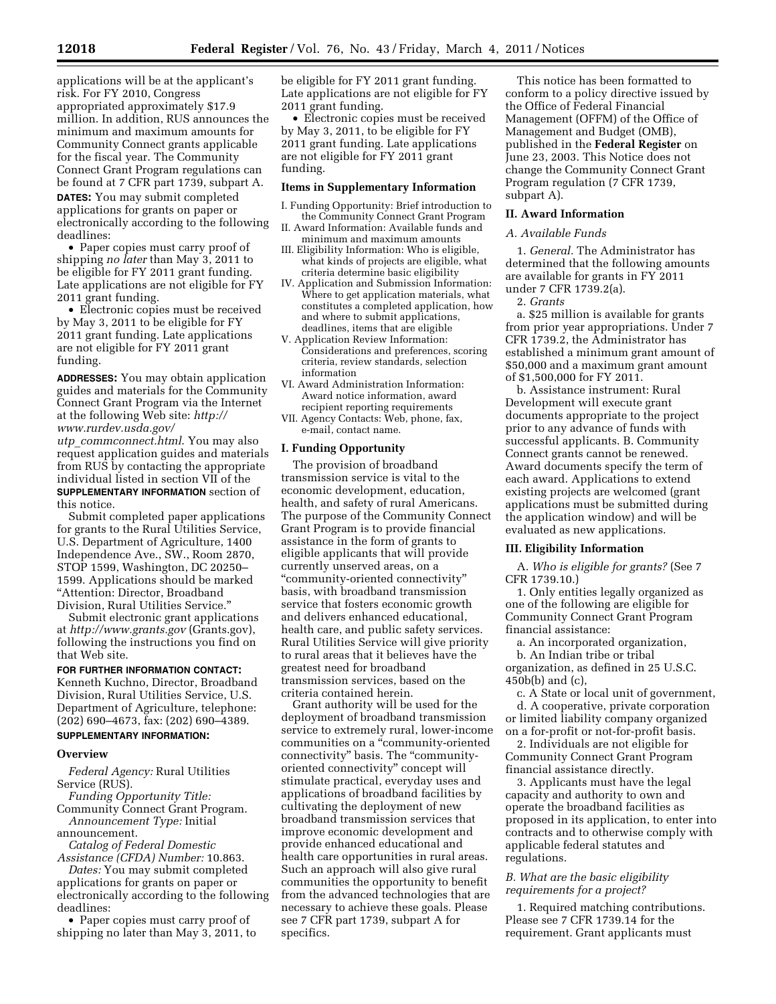applications will be at the applicant's risk. For FY 2010, Congress appropriated approximately \$17.9 million. In addition, RUS announces the minimum and maximum amounts for Community Connect grants applicable for the fiscal year. The Community Connect Grant Program regulations can be found at 7 CFR part 1739, subpart A. **DATES:** You may submit completed applications for grants on paper or electronically according to the following deadlines:

• Paper copies must carry proof of shipping *no later* than May 3, 2011 to be eligible for FY 2011 grant funding. Late applications are not eligible for FY 2011 grant funding.

• Electronic copies must be received by May 3, 2011 to be eligible for FY 2011 grant funding. Late applications are not eligible for FY 2011 grant funding.

**ADDRESSES:** You may obtain application guides and materials for the Community Connect Grant Program via the Internet at the following Web site: *[http://](http://www.rurdev.usda.gov/utp_commconnect.html) [www.rurdev.usda.gov/](http://www.rurdev.usda.gov/utp_commconnect.html)* 

*utp*\_*[commconnect.html](http://www.rurdev.usda.gov/utp_commconnect.html)*. You may also request application guides and materials from RUS by contacting the appropriate individual listed in section VII of the **SUPPLEMENTARY INFORMATION** section of this notice.

Submit completed paper applications for grants to the Rural Utilities Service, U.S. Department of Agriculture, 1400 Independence Ave., SW., Room 2870, STOP 1599, Washington, DC 20250– 1599. Applications should be marked ''Attention: Director, Broadband Division, Rural Utilities Service.''

Submit electronic grant applications at *<http://www.grants.gov>*(Grants.gov), following the instructions you find on that Web site.

## **FOR FURTHER INFORMATION CONTACT:**

Kenneth Kuchno, Director, Broadband Division, Rural Utilities Service, U.S. Department of Agriculture, telephone: (202) 690–4673, fax: (202) 690–4389. **SUPPLEMENTARY INFORMATION:** 

#### **Overview**

*Federal Agency:* Rural Utilities Service (RUS).

*Funding Opportunity Title:*  Community Connect Grant Program.

*Announcement Type:* Initial announcement.

*Catalog of Federal Domestic Assistance (CFDA) Number:* 10.863.

*Dates:* You may submit completed applications for grants on paper or electronically according to the following deadlines:

• Paper copies must carry proof of shipping no later than May 3, 2011, to be eligible for FY 2011 grant funding. Late applications are not eligible for FY 2011 grant funding.

• Electronic copies must be received by May 3, 2011, to be eligible for FY 2011 grant funding. Late applications are not eligible for FY 2011 grant funding.

### **Items in Supplementary Information**

- I. Funding Opportunity: Brief introduction to the Community Connect Grant Program
- II. Award Information: Available funds and minimum and maximum amounts
- III. Eligibility Information: Who is eligible, what kinds of projects are eligible, what criteria determine basic eligibility
- IV. Application and Submission Information: Where to get application materials, what constitutes a completed application, how and where to submit applications, deadlines, items that are eligible
- V. Application Review Information: Considerations and preferences, scoring criteria, review standards, selection information
- VI. Award Administration Information: Award notice information, award recipient reporting requirements
- VII. Agency Contacts: Web, phone, fax, e-mail, contact name.

### **I. Funding Opportunity**

The provision of broadband transmission service is vital to the economic development, education, health, and safety of rural Americans. The purpose of the Community Connect Grant Program is to provide financial assistance in the form of grants to eligible applicants that will provide currently unserved areas, on a ''community-oriented connectivity'' basis, with broadband transmission service that fosters economic growth and delivers enhanced educational, health care, and public safety services. Rural Utilities Service will give priority to rural areas that it believes have the greatest need for broadband transmission services, based on the criteria contained herein.

Grant authority will be used for the deployment of broadband transmission service to extremely rural, lower-income communities on a ''community-oriented connectivity'' basis. The ''communityoriented connectivity'' concept will stimulate practical, everyday uses and applications of broadband facilities by cultivating the deployment of new broadband transmission services that improve economic development and provide enhanced educational and health care opportunities in rural areas. Such an approach will also give rural communities the opportunity to benefit from the advanced technologies that are necessary to achieve these goals. Please see 7 CFR part 1739, subpart A for specifics.

This notice has been formatted to conform to a policy directive issued by the Office of Federal Financial Management (OFFM) of the Office of Management and Budget (OMB), published in the **Federal Register** on June 23, 2003. This Notice does not change the Community Connect Grant Program regulation (7 CFR 1739, subpart A).

### **II. Award Information**

#### *A. Available Funds*

1. *General.* The Administrator has determined that the following amounts are available for grants in FY 2011 under 7 CFR 1739.2(a).

2. *Grants* 

a. \$25 million is available for grants from prior year appropriations. Under 7 CFR 1739.2, the Administrator has established a minimum grant amount of \$50,000 and a maximum grant amount of \$1,500,000 for FY 2011.

b. Assistance instrument: Rural Development will execute grant documents appropriate to the project prior to any advance of funds with successful applicants. B. Community Connect grants cannot be renewed. Award documents specify the term of each award. Applications to extend existing projects are welcomed (grant applications must be submitted during the application window) and will be evaluated as new applications.

### **III. Eligibility Information**

A. *Who is eligible for grants?* (See 7 CFR 1739.10.)

1. Only entities legally organized as one of the following are eligible for Community Connect Grant Program financial assistance:

a. An incorporated organization,

b. An Indian tribe or tribal

organization, as defined in 25 U.S.C. 450b(b) and (c),

c. A State or local unit of government, d. A cooperative, private corporation or limited liability company organized on a for-profit or not-for-profit basis.

2. Individuals are not eligible for Community Connect Grant Program financial assistance directly.

3. Applicants must have the legal capacity and authority to own and operate the broadband facilities as proposed in its application, to enter into contracts and to otherwise comply with applicable federal statutes and regulations.

# *B. What are the basic eligibility requirements for a project?*

1. Required matching contributions. Please see 7 CFR 1739.14 for the requirement. Grant applicants must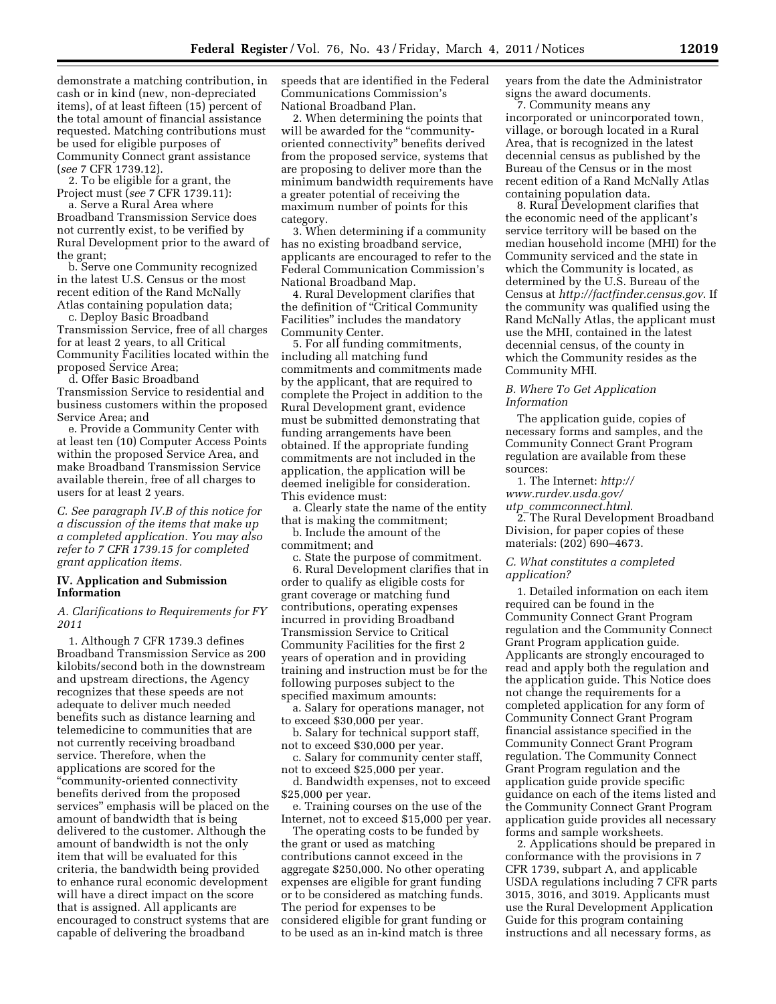demonstrate a matching contribution, in cash or in kind (new, non-depreciated items), of at least fifteen (15) percent of the total amount of financial assistance requested. Matching contributions must be used for eligible purposes of Community Connect grant assistance (*see* 7 CFR 1739.12).

2. To be eligible for a grant, the Project must (*see* 7 CFR 1739.11):

a. Serve a Rural Area where Broadband Transmission Service does not currently exist, to be verified by Rural Development prior to the award of the grant;

b. Serve one Community recognized in the latest U.S. Census or the most recent edition of the Rand McNally Atlas containing population data;

c. Deploy Basic Broadband Transmission Service, free of all charges for at least 2 years, to all Critical Community Facilities located within the proposed Service Area;

d. Offer Basic Broadband Transmission Service to residential and business customers within the proposed Service Area; and

e. Provide a Community Center with at least ten (10) Computer Access Points within the proposed Service Area, and make Broadband Transmission Service available therein, free of all charges to users for at least 2 years.

*C. See paragraph IV.B of this notice for a discussion of the items that make up a completed application. You may also refer to 7 CFR 1739.15 for completed grant application items.* 

## **IV. Application and Submission Information**

*A. Clarifications to Requirements for FY 2011* 

1. Although 7 CFR 1739.3 defines Broadband Transmission Service as 200 kilobits/second both in the downstream and upstream directions, the Agency recognizes that these speeds are not adequate to deliver much needed benefits such as distance learning and telemedicine to communities that are not currently receiving broadband service. Therefore, when the applications are scored for the ''community-oriented connectivity benefits derived from the proposed services'' emphasis will be placed on the amount of bandwidth that is being delivered to the customer. Although the amount of bandwidth is not the only item that will be evaluated for this criteria, the bandwidth being provided to enhance rural economic development will have a direct impact on the score that is assigned. All applicants are encouraged to construct systems that are capable of delivering the broadband

speeds that are identified in the Federal Communications Commission's National Broadband Plan.

2. When determining the points that will be awarded for the "communityoriented connectivity'' benefits derived from the proposed service, systems that are proposing to deliver more than the minimum bandwidth requirements have a greater potential of receiving the maximum number of points for this category.

3. When determining if a community has no existing broadband service, applicants are encouraged to refer to the Federal Communication Commission's National Broadband Map.

4. Rural Development clarifies that the definition of ''Critical Community Facilities'' includes the mandatory Community Center.

5. For all funding commitments, including all matching fund commitments and commitments made by the applicant, that are required to complete the Project in addition to the Rural Development grant, evidence must be submitted demonstrating that funding arrangements have been obtained. If the appropriate funding commitments are not included in the application, the application will be deemed ineligible for consideration. This evidence must:

a. Clearly state the name of the entity that is making the commitment;

b. Include the amount of the commitment; and

c. State the purpose of commitment.

6. Rural Development clarifies that in order to qualify as eligible costs for grant coverage or matching fund contributions, operating expenses incurred in providing Broadband Transmission Service to Critical Community Facilities for the first 2 years of operation and in providing training and instruction must be for the following purposes subject to the specified maximum amounts:

a. Salary for operations manager, not to exceed \$30,000 per year.

b. Salary for technical support staff, not to exceed \$30,000 per year.

c. Salary for community center staff, not to exceed \$25,000 per year.

d. Bandwidth expenses, not to exceed \$25,000 per year.

e. Training courses on the use of the Internet, not to exceed \$15,000 per year.

The operating costs to be funded by the grant or used as matching contributions cannot exceed in the aggregate \$250,000. No other operating expenses are eligible for grant funding or to be considered as matching funds. The period for expenses to be considered eligible for grant funding or to be used as an in-kind match is three

years from the date the Administrator signs the award documents.

7. Community means any incorporated or unincorporated town, village, or borough located in a Rural Area, that is recognized in the latest decennial census as published by the Bureau of the Census or in the most recent edition of a Rand McNally Atlas containing population data.

8. Rural Development clarifies that the economic need of the applicant's service territory will be based on the median household income (MHI) for the Community serviced and the state in which the Community is located, as determined by the U.S. Bureau of the Census at *<http://factfinder.census.gov>*. If the community was qualified using the Rand McNally Atlas, the applicant must use the MHI, contained in the latest decennial census, of the county in which the Community resides as the Community MHI.

# *B. Where To Get Application Information*

The application guide, copies of necessary forms and samples, and the Community Connect Grant Program regulation are available from these sources:

1. The Internet: *[http://](http://www.rurdev.usda.gov/utp_commconnect.html) [www.rurdev.usda.gov/](http://www.rurdev.usda.gov/utp_commconnect.html)  utp*\_*[commconnect.html](http://www.rurdev.usda.gov/utp_commconnect.html)*.

2. The Rural Development Broadband Division, for paper copies of these materials: (202) 690–4673.

# *C. What constitutes a completed application?*

1. Detailed information on each item required can be found in the Community Connect Grant Program regulation and the Community Connect Grant Program application guide. Applicants are strongly encouraged to read and apply both the regulation and the application guide. This Notice does not change the requirements for a completed application for any form of Community Connect Grant Program financial assistance specified in the Community Connect Grant Program regulation. The Community Connect Grant Program regulation and the application guide provide specific guidance on each of the items listed and the Community Connect Grant Program application guide provides all necessary forms and sample worksheets.

2. Applications should be prepared in conformance with the provisions in 7 CFR 1739, subpart A, and applicable USDA regulations including 7 CFR parts 3015, 3016, and 3019. Applicants must use the Rural Development Application Guide for this program containing instructions and all necessary forms, as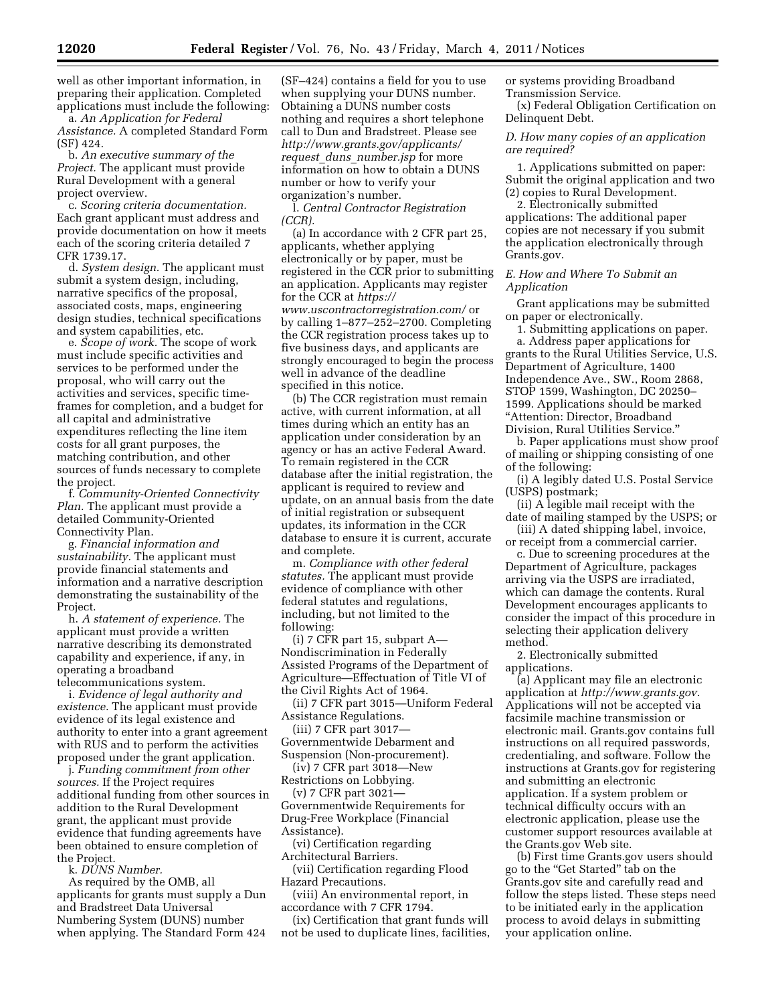well as other important information, in preparing their application. Completed applications must include the following:

a. *An Application for Federal Assistance.* A completed Standard Form (SF) 424.

b. *An executive summary of the Project.* The applicant must provide Rural Development with a general project overview.

c. *Scoring criteria documentation.*  Each grant applicant must address and provide documentation on how it meets each of the scoring criteria detailed 7 CFR 1739.17.

d. *System design.* The applicant must submit a system design, including, narrative specifics of the proposal, associated costs, maps, engineering design studies, technical specifications and system capabilities, etc.

e. *Scope of work.* The scope of work must include specific activities and services to be performed under the proposal, who will carry out the activities and services, specific timeframes for completion, and a budget for all capital and administrative expenditures reflecting the line item costs for all grant purposes, the matching contribution, and other sources of funds necessary to complete the project.

f. *Community-Oriented Connectivity Plan.* The applicant must provide a detailed Community-Oriented Connectivity Plan.

g. *Financial information and sustainability.* The applicant must provide financial statements and information and a narrative description demonstrating the sustainability of the Project.

h. *A statement of experience.* The applicant must provide a written narrative describing its demonstrated capability and experience, if any, in operating a broadband telecommunications system.

i. *Evidence of legal authority and existence.* The applicant must provide evidence of its legal existence and authority to enter into a grant agreement with RUS and to perform the activities proposed under the grant application.

j. *Funding commitment from other sources.* If the Project requires additional funding from other sources in addition to the Rural Development grant, the applicant must provide evidence that funding agreements have been obtained to ensure completion of the Project.

k. *DUNS Number.* 

As required by the OMB, all applicants for grants must supply a Dun and Bradstreet Data Universal Numbering System (DUNS) number when applying. The Standard Form 424

(SF–424) contains a field for you to use when supplying your DUNS number. Obtaining a DUNS number costs nothing and requires a short telephone call to Dun and Bradstreet. Please see *[http://www.grants.gov/applicants/](http://www.grants.gov/applicants/request_duns_number.jsp) request*\_*duns*\_*[number.jsp](http://www.grants.gov/applicants/request_duns_number.jsp)* for more information on how to obtain a DUNS number or how to verify your organization's number.

l. *Central Contractor Registration (CCR).* 

(a) In accordance with 2 CFR part 25, applicants, whether applying electronically or by paper, must be registered in the CCR prior to submitting an application. Applicants may register for the CCR at *[https://](https://www.uscontractorregistration.com/) [www.uscontractorregistration.com/](https://www.uscontractorregistration.com/)* or by calling 1–877–252–2700. Completing the CCR registration process takes up to five business days, and applicants are strongly encouraged to begin the process well in advance of the deadline specified in this notice.

(b) The CCR registration must remain active, with current information, at all times during which an entity has an application under consideration by an agency or has an active Federal Award. To remain registered in the CCR database after the initial registration, the applicant is required to review and update, on an annual basis from the date of initial registration or subsequent updates, its information in the CCR database to ensure it is current, accurate and complete.

m. *Compliance with other federal statutes.* The applicant must provide evidence of compliance with other federal statutes and regulations, including, but not limited to the following:

(i) 7 CFR part 15, subpart A— Nondiscrimination in Federally Assisted Programs of the Department of Agriculture—Effectuation of Title VI of the Civil Rights Act of 1964.

(ii) 7 CFR part 3015—Uniform Federal Assistance Regulations.

(iii) 7 CFR part 3017— Governmentwide Debarment and Suspension (Non-procurement).

(iv) 7 CFR part 3018—New Restrictions on Lobbying.

(v) 7 CFR part 3021—

Governmentwide Requirements for Drug-Free Workplace (Financial Assistance).

(vi) Certification regarding Architectural Barriers.

(vii) Certification regarding Flood Hazard Precautions.

(viii) An environmental report, in accordance with 7 CFR 1794.

(ix) Certification that grant funds will not be used to duplicate lines, facilities, or systems providing Broadband Transmission Service.

(x) Federal Obligation Certification on Delinquent Debt.

*D. How many copies of an application are required?* 

1. Applications submitted on paper: Submit the original application and two (2) copies to Rural Development.

2. Electronically submitted applications: The additional paper copies are not necessary if you submit the application electronically through Grants.gov.

# *E. How and Where To Submit an Application*

Grant applications may be submitted on paper or electronically.

1. Submitting applications on paper.

a. Address paper applications for grants to the Rural Utilities Service, U.S. Department of Agriculture, 1400 Independence Ave., SW., Room 2868, STOP 1599, Washington, DC 20250– 1599. Applications should be marked ''Attention: Director, Broadband Division, Rural Utilities Service.''

b. Paper applications must show proof of mailing or shipping consisting of one of the following:

(i) A legibly dated U.S. Postal Service (USPS) postmark;

(ii) A legible mail receipt with the date of mailing stamped by the USPS; or

(iii) A dated shipping label, invoice, or receipt from a commercial carrier.

c. Due to screening procedures at the Department of Agriculture, packages arriving via the USPS are irradiated, which can damage the contents. Rural Development encourages applicants to consider the impact of this procedure in selecting their application delivery method.

2. Electronically submitted applications.

(a) Applicant may file an electronic application at *[http://www.grants.gov.](http://www.grants.gov)*  Applications will not be accepted via facsimile machine transmission or electronic mail. Grants.gov contains full instructions on all required passwords, credentialing, and software. Follow the instructions at Grants.gov for registering and submitting an electronic application. If a system problem or technical difficulty occurs with an electronic application, please use the customer support resources available at the Grants.gov Web site.

(b) First time Grants.gov users should go to the ''Get Started'' tab on the Grants.gov site and carefully read and follow the steps listed. These steps need to be initiated early in the application process to avoid delays in submitting your application online.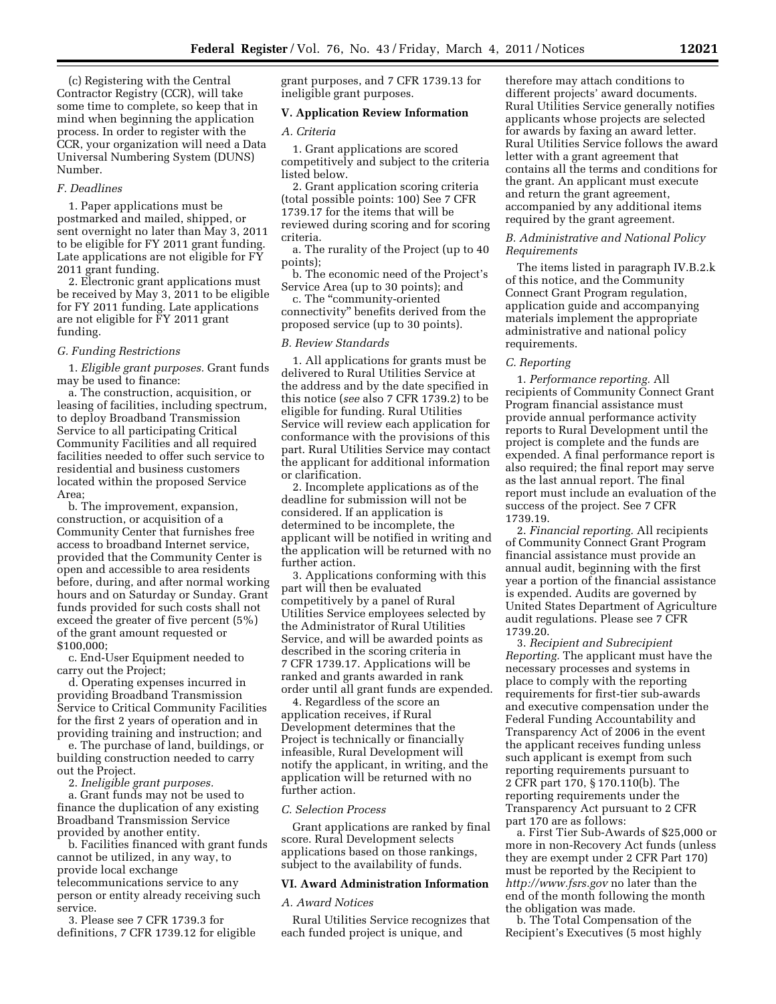(c) Registering with the Central Contractor Registry (CCR), will take some time to complete, so keep that in mind when beginning the application process. In order to register with the CCR, your organization will need a Data Universal Numbering System (DUNS) Number.

### *F. Deadlines*

1. Paper applications must be postmarked and mailed, shipped, or sent overnight no later than May 3, 2011 to be eligible for FY 2011 grant funding. Late applications are not eligible for FY 2011 grant funding.

2. Electronic grant applications must be received by May 3, 2011 to be eligible for FY 2011 funding. Late applications are not eligible for FY 2011 grant funding.

#### *G. Funding Restrictions*

1. *Eligible grant purposes.* Grant funds may be used to finance:

a. The construction, acquisition, or leasing of facilities, including spectrum, to deploy Broadband Transmission Service to all participating Critical Community Facilities and all required facilities needed to offer such service to residential and business customers located within the proposed Service Area;

b. The improvement, expansion, construction, or acquisition of a Community Center that furnishes free access to broadband Internet service, provided that the Community Center is open and accessible to area residents before, during, and after normal working hours and on Saturday or Sunday. Grant funds provided for such costs shall not exceed the greater of five percent (5%) of the grant amount requested or \$100,000;

c. End-User Equipment needed to carry out the Project;

d. Operating expenses incurred in providing Broadband Transmission Service to Critical Community Facilities for the first 2 years of operation and in providing training and instruction; and

e. The purchase of land, buildings, or building construction needed to carry out the Project.

2. *Ineligible grant purposes.* 

a. Grant funds may not be used to finance the duplication of any existing Broadband Transmission Service provided by another entity.

b. Facilities financed with grant funds cannot be utilized, in any way, to provide local exchange telecommunications service to any person or entity already receiving such service.

3. Please see 7 CFR 1739.3 for definitions, 7 CFR 1739.12 for eligible grant purposes, and 7 CFR 1739.13 for ineligible grant purposes.

## **V. Application Review Information**

#### *A. Criteria*

1. Grant applications are scored competitively and subject to the criteria listed below.

2. Grant application scoring criteria (total possible points: 100) See 7 CFR 1739.17 for the items that will be reviewed during scoring and for scoring criteria.

a. The rurality of the Project (up to 40 points);

b. The economic need of the Project's Service Area (up to 30 points); and

c. The ''community-oriented connectivity'' benefits derived from the proposed service (up to 30 points).

### *B. Review Standards*

1. All applications for grants must be delivered to Rural Utilities Service at the address and by the date specified in this notice (*see* also 7 CFR 1739.2) to be eligible for funding. Rural Utilities Service will review each application for conformance with the provisions of this part. Rural Utilities Service may contact the applicant for additional information or clarification.

2. Incomplete applications as of the deadline for submission will not be considered. If an application is determined to be incomplete, the applicant will be notified in writing and the application will be returned with no further action.

3. Applications conforming with this part will then be evaluated competitively by a panel of Rural Utilities Service employees selected by the Administrator of Rural Utilities Service, and will be awarded points as described in the scoring criteria in 7 CFR 1739.17. Applications will be ranked and grants awarded in rank order until all grant funds are expended.

4. Regardless of the score an application receives, if Rural Development determines that the Project is technically or financially infeasible, Rural Development will notify the applicant, in writing, and the application will be returned with no further action.

#### *C. Selection Process*

Grant applications are ranked by final score. Rural Development selects applications based on those rankings, subject to the availability of funds.

### **VI. Award Administration Information**

### *A. Award Notices*

Rural Utilities Service recognizes that each funded project is unique, and

therefore may attach conditions to different projects' award documents. Rural Utilities Service generally notifies applicants whose projects are selected for awards by faxing an award letter. Rural Utilities Service follows the award letter with a grant agreement that contains all the terms and conditions for the grant. An applicant must execute and return the grant agreement, accompanied by any additional items required by the grant agreement.

## *B. Administrative and National Policy Requirements*

The items listed in paragraph IV.B.2.k of this notice, and the Community Connect Grant Program regulation, application guide and accompanying materials implement the appropriate administrative and national policy requirements.

### *C. Reporting*

1. *Performance reporting.* All recipients of Community Connect Grant Program financial assistance must provide annual performance activity reports to Rural Development until the project is complete and the funds are expended. A final performance report is also required; the final report may serve as the last annual report. The final report must include an evaluation of the success of the project. See 7 CFR 1739.19.

2. *Financial reporting.* All recipients of Community Connect Grant Program financial assistance must provide an annual audit, beginning with the first year a portion of the financial assistance is expended. Audits are governed by United States Department of Agriculture audit regulations. Please see 7 CFR 1739.20.

3. *Recipient and Subrecipient Reporting.* The applicant must have the necessary processes and systems in place to comply with the reporting requirements for first-tier sub-awards and executive compensation under the Federal Funding Accountability and Transparency Act of 2006 in the event the applicant receives funding unless such applicant is exempt from such reporting requirements pursuant to 2 CFR part 170, § 170.110(b). The reporting requirements under the Transparency Act pursuant to 2 CFR part 170 are as follows:

a. First Tier Sub-Awards of \$25,000 or more in non-Recovery Act funds (unless they are exempt under 2 CFR Part 170) must be reported by the Recipient to *<http://www.fsrs.gov>*no later than the end of the month following the month the obligation was made.

b. The Total Compensation of the Recipient's Executives (5 most highly